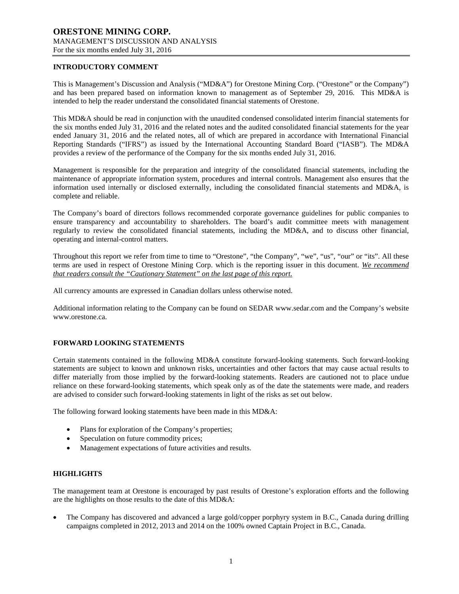## **INTRODUCTORY COMMENT**

This is Management's Discussion and Analysis ("MD&A") for Orestone Mining Corp. ("Orestone" or the Company") and has been prepared based on information known to management as of September 29, 2016. This MD&A is intended to help the reader understand the consolidated financial statements of Orestone.

This MD&A should be read in conjunction with the unaudited condensed consolidated interim financial statements for the six months ended July 31, 2016 and the related notes and the audited consolidated financial statements for the year ended January 31, 2016 and the related notes, all of which are prepared in accordance with International Financial Reporting Standards ("IFRS") as issued by the International Accounting Standard Board ("IASB"). The MD&A provides a review of the performance of the Company for the six months ended July 31, 2016.

Management is responsible for the preparation and integrity of the consolidated financial statements, including the maintenance of appropriate information system, procedures and internal controls. Management also ensures that the information used internally or disclosed externally, including the consolidated financial statements and MD&A, is complete and reliable.

The Company's board of directors follows recommended corporate governance guidelines for public companies to ensure transparency and accountability to shareholders. The board's audit committee meets with management regularly to review the consolidated financial statements, including the MD&A, and to discuss other financial, operating and internal-control matters.

Throughout this report we refer from time to time to "Orestone", "the Company", "we", "us", "our" or "its". All these terms are used in respect of Orestone Mining Corp. which is the reporting issuer in this document. *We recommend that readers consult the "Cautionary Statement" on the last page of this report.*

All currency amounts are expressed in Canadian dollars unless otherwise noted.

Additional information relating to the Company can be found on SEDAR www.sedar.com and the Company's website www.orestone.ca.

# **FORWARD LOOKING STATEMENTS**

Certain statements contained in the following MD&A constitute forward-looking statements. Such forward-looking statements are subject to known and unknown risks, uncertainties and other factors that may cause actual results to differ materially from those implied by the forward-looking statements. Readers are cautioned not to place undue reliance on these forward-looking statements, which speak only as of the date the statements were made, and readers are advised to consider such forward-looking statements in light of the risks as set out below.

The following forward looking statements have been made in this MD&A:

- Plans for exploration of the Company's properties;
- Speculation on future commodity prices;
- Management expectations of future activities and results.

#### **HIGHLIGHTS**

The management team at Orestone is encouraged by past results of Orestone's exploration efforts and the following are the highlights on those results to the date of this MD&A:

• The Company has discovered and advanced a large gold/copper porphyry system in B.C., Canada during drilling campaigns completed in 2012, 2013 and 2014 on the 100% owned Captain Project in B.C., Canada.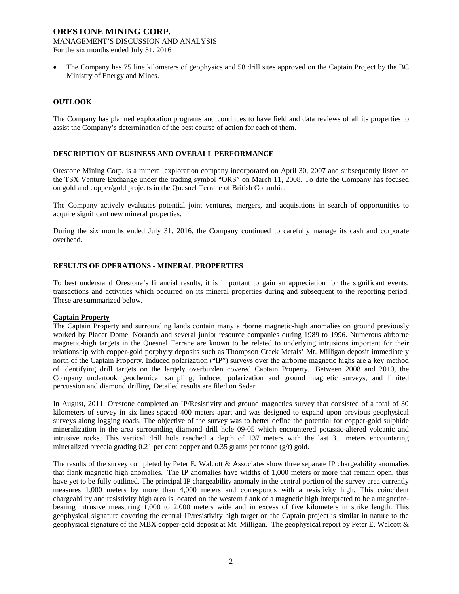• The Company has 75 line kilometers of geophysics and 58 drill sites approved on the Captain Project by the BC Ministry of Energy and Mines.

## **OUTLOOK**

The Company has planned exploration programs and continues to have field and data reviews of all its properties to assist the Company's determination of the best course of action for each of them.

## **DESCRIPTION OF BUSINESS AND OVERALL PERFORMANCE**

Orestone Mining Corp. is a mineral exploration company incorporated on April 30, 2007 and subsequently listed on the TSX Venture Exchange under the trading symbol "ORS" on March 11, 2008. To date the Company has focused on gold and copper/gold projects in the Quesnel Terrane of British Columbia.

The Company actively evaluates potential joint ventures, mergers, and acquisitions in search of opportunities to acquire significant new mineral properties.

During the six months ended July 31, 2016, the Company continued to carefully manage its cash and corporate overhead.

## **RESULTS OF OPERATIONS - MINERAL PROPERTIES**

To best understand Orestone's financial results, it is important to gain an appreciation for the significant events, transactions and activities which occurred on its mineral properties during and subsequent to the reporting period. These are summarized below.

#### **Captain Property**

The Captain Property and surrounding lands contain many airborne magnetic-high anomalies on ground previously worked by Placer Dome, Noranda and several junior resource companies during 1989 to 1996. Numerous airborne magnetic-high targets in the Quesnel Terrane are known to be related to underlying intrusions important for their relationship with copper-gold porphyry deposits such as Thompson Creek Metals' Mt. Milligan deposit immediately north of the Captain Property. Induced polarization ("IP") surveys over the airborne magnetic highs are a key method of identifying drill targets on the largely overburden covered Captain Property. Between 2008 and 2010, the Company undertook geochemical sampling, induced polarization and ground magnetic surveys, and limited percussion and diamond drilling. Detailed results are filed on Sedar.

In August, 2011, Orestone completed an IP/Resistivity and ground magnetics survey that consisted of a total of 30 kilometers of survey in six lines spaced 400 meters apart and was designed to expand upon previous geophysical surveys along logging roads. The objective of the survey was to better define the potential for copper-gold sulphide mineralization in the area surrounding diamond drill hole 09-05 which encountered potassic-altered volcanic and intrusive rocks. This vertical drill hole reached a depth of 137 meters with the last 3.1 meters encountering mineralized breccia grading 0.21 per cent copper and  $0.35$  grams per tonne (g/t) gold.

The results of the survey completed by Peter E. Walcott & Associates show three separate IP chargeability anomalies that flank magnetic high anomalies. The IP anomalies have widths of 1,000 meters or more that remain open, thus have yet to be fully outlined. The principal IP chargeability anomaly in the central portion of the survey area currently measures 1,000 meters by more than 4,000 meters and corresponds with a resistivity high. This coincident chargeability and resistivity high area is located on the western flank of a magnetic high interpreted to be a magnetitebearing intrusive measuring 1,000 to 2,000 meters wide and in excess of five kilometers in strike length. This geophysical signature covering the central IP/resistivity high target on the Captain project is similar in nature to the geophysical signature of the MBX copper-gold deposit at Mt. Milligan. The geophysical report by Peter E. Walcott &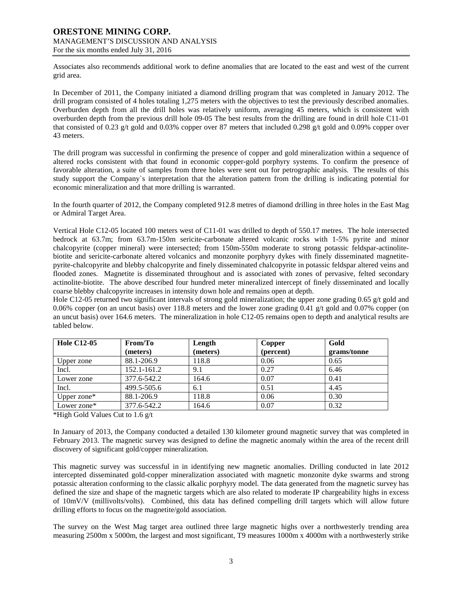Associates also recommends additional work to define anomalies that are located to the east and west of the current grid area.

In December of 2011, the Company initiated a diamond drilling program that was completed in January 2012. The drill program consisted of 4 holes totaling 1,275 meters with the objectives to test the previously described anomalies. Overburden depth from all the drill holes was relatively uniform, averaging 45 meters, which is consistent with overburden depth from the previous drill hole 09-05 The best results from the drilling are found in drill hole C11-01 that consisted of 0.23 g/t gold and 0.03% copper over 87 meters that included 0.298 g/t gold and 0.09% copper over 43 meters.

The drill program was successful in confirming the presence of copper and gold mineralization within a sequence of altered rocks consistent with that found in economic copper-gold porphyry systems. To confirm the presence of favorable alteration, a suite of samples from three holes were sent out for petrographic analysis. The results of this study support the Company`s interpretation that the alteration pattern from the drilling is indicating potential for economic mineralization and that more drilling is warranted.

In the fourth quarter of 2012, the Company completed 912.8 metres of diamond drilling in three holes in the East Mag or Admiral Target Area.

Vertical Hole C12-05 located 100 meters west of C11-01 was drilled to depth of 550.17 metres. The hole intersected bedrock at 63.7m; from 63.7m-150m sericite-carbonate altered volcanic rocks with 1-5% pyrite and minor chalcopyrite (copper mineral) were intersected; from 150m-550m moderate to strong potassic feldspar-actinolitebiotite and sericite-carbonate altered volcanics and monzonite porphyry dykes with finely disseminated magnetitepyrite-chalcopyrite and blebby chalcopyrite and finely disseminated chalcopyrite in potassic feldspar altered veins and flooded zones. Magnetite is disseminated throughout and is associated with zones of pervasive, felted secondary actinolite-biotite. The above described four hundred meter mineralized intercept of finely disseminated and locally coarse blebby chalcopyrite increases in intensity down hole and remains open at depth.

Hole C12-05 returned two significant intervals of strong gold mineralization; the upper zone grading 0.65 g/t gold and 0.06% copper (on an uncut basis) over 118.8 meters and the lower zone grading 0.41 g/t gold and 0.07% copper (on an uncut basis) over 164.6 meters. The mineralization in hole C12-05 remains open to depth and analytical results are tabled below.

| <b>Hole C12-05</b> | From/To     | Length   | Copper    | Gold        |
|--------------------|-------------|----------|-----------|-------------|
|                    | (meters)    | (meters) | (percent) | grams/tonne |
| Upper zone         | 88.1-206.9  | 118.8    | 0.06      | 0.65        |
| Incl.              | 152.1-161.2 | 9.1      | 0.27      | 6.46        |
| Lower zone         | 377.6-542.2 | 164.6    | 0.07      | 0.41        |
| Incl.              | 499.5-505.6 | 6.1      | 0.51      | 4.45        |
| Upper zone $*$     | 88.1-206.9  | 118.8    | 0.06      | 0.30        |
| Lower zone*        | 377.6-542.2 | 164.6    | 0.07      | 0.32        |

\*High Gold Values Cut to 1.6 g/t

In January of 2013, the Company conducted a detailed 130 kilometer ground magnetic survey that was completed in February 2013. The magnetic survey was designed to define the magnetic anomaly within the area of the recent drill discovery of significant gold/copper mineralization.

This magnetic survey was successful in in identifying new magnetic anomalies. Drilling conducted in late 2012 intercepted disseminated gold-copper mineralization associated with magnetic monzonite dyke swarms and strong potassic alteration conforming to the classic alkalic porphyry model. The data generated from the magnetic survey has defined the size and shape of the magnetic targets which are also related to moderate IP chargeability highs in excess of 10mV/V (millivolts/volts). Combined, this data has defined compelling drill targets which will allow future drilling efforts to focus on the magnetite/gold association.

The survey on the West Mag target area outlined three large magnetic highs over a northwesterly trending area measuring 2500m x 5000m, the largest and most significant, T9 measures 1000m x 4000m with a northwesterly strike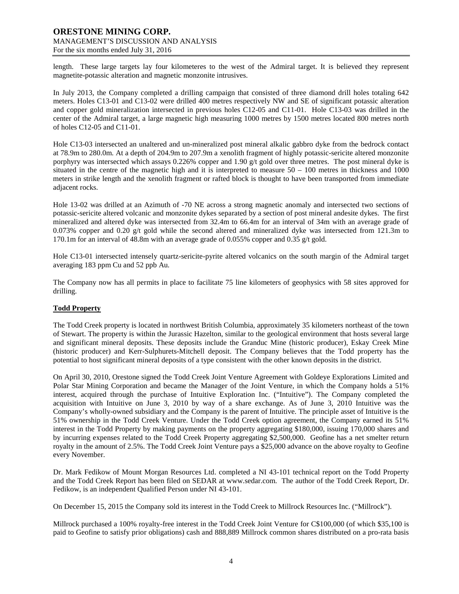length. These large targets lay four kilometeres to the west of the Admiral target. It is believed they represent magnetite-potassic alteration and magnetic monzonite intrusives.

In July 2013, the Company completed a drilling campaign that consisted of three diamond drill holes totaling 642 meters. Holes C13-01 and C13-02 were drilled 400 metres respectively NW and SE of significant potassic alteration and copper gold mineralization intersected in previous holes C12-05 and C11-01. Hole C13-03 was drilled in the center of the Admiral target, a large magnetic high measuring 1000 metres by 1500 metres located 800 metres north of holes C12-05 and C11-01.

Hole C13-03 intersected an unaltered and un-mineralized post mineral alkalic gabbro dyke from the bedrock contact at 78.9m to 280.0m. At a depth of 204.9m to 207.9m a xenolith fragment of highly potassic-sericite altered monzonite porphyry was intersected which assays 0.226% copper and 1.90 g/t gold over three metres. The post mineral dyke is situated in the centre of the magnetic high and it is interpreted to measure  $50 - 100$  metres in thickness and 1000 meters in strike length and the xenolith fragment or rafted block is thought to have been transported from immediate adjacent rocks.

Hole 13-02 was drilled at an Azimuth of -70 NE across a strong magnetic anomaly and intersected two sections of potassic-sericite altered volcanic and monzonite dykes separated by a section of post mineral andesite dykes. The first mineralized and altered dyke was intersected from 32.4m to 66.4m for an interval of 34m with an average grade of 0.073% copper and 0.20 g/t gold while the second altered and mineralized dyke was intersected from 121.3m to 170.1m for an interval of 48.8m with an average grade of 0.055% copper and 0.35 g/t gold.

Hole C13-01 intersected intensely quartz-sericite-pyrite altered volcanics on the south margin of the Admiral target averaging 183 ppm Cu and 52 ppb Au.

The Company now has all permits in place to facilitate 75 line kilometers of geophysics with 58 sites approved for drilling.

# **Todd Property**

The Todd Creek property is located in northwest British Columbia, approximately 35 kilometers northeast of the town of Stewart. The property is within the Jurassic Hazelton, similar to the geological environment that hosts several large and significant mineral deposits. These deposits include the Granduc Mine (historic producer), Eskay Creek Mine (historic producer) and Kerr-Sulphurets-Mitchell deposit. The Company believes that the Todd property has the potential to host significant mineral deposits of a type consistent with the other known deposits in the district.

On April 30, 2010, Orestone signed the Todd Creek Joint Venture Agreement with Goldeye Explorations Limited and Polar Star Mining Corporation and became the Manager of the Joint Venture, in which the Company holds a 51% interest, acquired through the purchase of Intuitive Exploration Inc. ("Intuitive"). The Company completed the acquisition with Intuitive on June 3, 2010 by way of a share exchange. As of June 3, 2010 Intuitive was the Company's wholly-owned subsidiary and the Company is the parent of Intuitive. The principle asset of Intuitive is the 51% ownership in the Todd Creek Venture. Under the Todd Creek option agreement, the Company earned its 51% interest in the Todd Property by making payments on the property aggregating \$180,000, issuing 170,000 shares and by incurring expenses related to the Todd Creek Property aggregating \$2,500,000. Geofine has a net smelter return royalty in the amount of 2.5%. The Todd Creek Joint Venture pays a \$25,000 advance on the above royalty to Geofine every November.

Dr. Mark Fedikow of Mount Morgan Resources Ltd. completed a NI 43-101 technical report on the Todd Property and the Todd Creek Report has been filed on SEDAR at [www.sedar.com.](http://www.sedar.com/) The author of the Todd Creek Report, Dr. Fedikow, is an independent Qualified Person under NI 43-101.

On December 15, 2015 the Company sold its interest in the Todd Creek to Millrock Resources Inc. ("Millrock").

Millrock purchased a 100% royalty-free interest in the Todd Creek Joint Venture for C\$100,000 (of which \$35,100 is paid to Geofine to satisfy prior obligations) cash and 888,889 Millrock common shares distributed on a pro-rata basis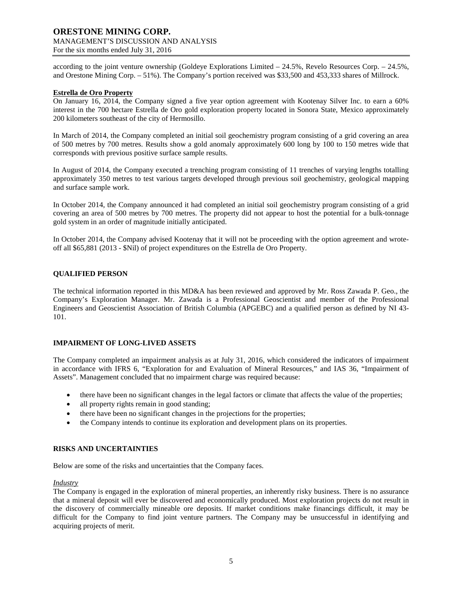according to the joint venture ownership (Goldeye Explorations Limited – 24.5%, Revelo Resources Corp. – 24.5%, and Orestone Mining Corp. – 51%). The Company's portion received was \$33,500 and 453,333 shares of Millrock.

## **Estrella de Oro Property**

On January 16, 2014, the Company signed a five year option agreement with Kootenay Silver Inc. to earn a 60% interest in the 700 hectare Estrella de Oro gold exploration property located in Sonora State, Mexico approximately 200 kilometers southeast of the city of Hermosillo.

In March of 2014, the Company completed an initial soil geochemistry program consisting of a grid covering an area of 500 metres by 700 metres. Results show a gold anomaly approximately 600 long by 100 to 150 metres wide that corresponds with previous positive surface sample results.

In August of 2014, the Company executed a trenching program consisting of 11 trenches of varying lengths totalling approximately 350 metres to test various targets developed through previous soil geochemistry, geological mapping and surface sample work.

In October 2014, the Company announced it had completed an initial soil geochemistry program consisting of a grid covering an area of 500 metres by 700 metres. The property did not appear to host the potential for a bulk-tonnage gold system in an order of magnitude initially anticipated.

In October 2014, the Company advised Kootenay that it will not be proceeding with the option agreement and wroteoff all \$65,881 (2013 - \$Nil) of project expenditures on the Estrella de Oro Property.

# **QUALIFIED PERSON**

The technical information reported in this MD&A has been reviewed and approved by Mr. Ross Zawada P. Geo., the Company's Exploration Manager. Mr. Zawada is a Professional Geoscientist and member of the Professional Engineers and Geoscientist Association of British Columbia (APGEBC) and a qualified person as defined by NI 43- 101.

#### **IMPAIRMENT OF LONG-LIVED ASSETS**

The Company completed an impairment analysis as at July 31, 2016, which considered the indicators of impairment in accordance with IFRS 6, "Exploration for and Evaluation of Mineral Resources," and IAS 36, "Impairment of Assets". Management concluded that no impairment charge was required because:

- there have been no significant changes in the legal factors or climate that affects the value of the properties;
- all property rights remain in good standing;
- there have been no significant changes in the projections for the properties;
- the Company intends to continue its exploration and development plans on its properties.

#### **RISKS AND UNCERTAINTIES**

Below are some of the risks and uncertainties that the Company faces.

#### *Industry*

The Company is engaged in the exploration of mineral properties, an inherently risky business. There is no assurance that a mineral deposit will ever be discovered and economically produced. Most exploration projects do not result in the discovery of commercially mineable ore deposits. If market conditions make financings difficult, it may be difficult for the Company to find joint venture partners. The Company may be unsuccessful in identifying and acquiring projects of merit.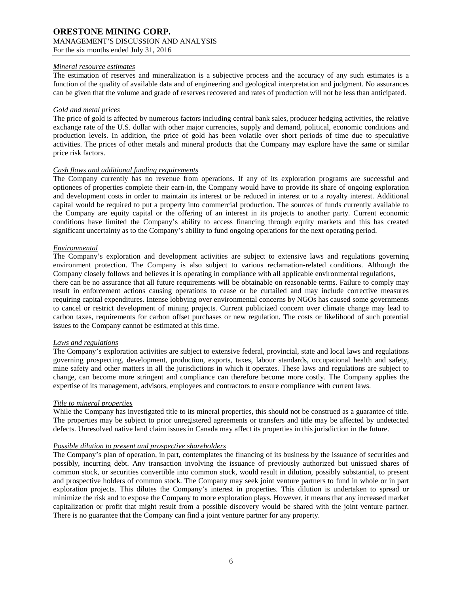## *Mineral resource estimates*

The estimation of reserves and mineralization is a subjective process and the accuracy of any such estimates is a function of the quality of available data and of engineering and geological interpretation and judgment. No assurances can be given that the volume and grade of reserves recovered and rates of production will not be less than anticipated.

## *Gold and metal prices*

The price of gold is affected by numerous factors including central bank sales, producer hedging activities, the relative exchange rate of the U.S. dollar with other major currencies, supply and demand, political, economic conditions and production levels. In addition, the price of gold has been volatile over short periods of time due to speculative activities. The prices of other metals and mineral products that the Company may explore have the same or similar price risk factors.

## *Cash flows and additional funding requirements*

The Company currently has no revenue from operations. If any of its exploration programs are successful and optionees of properties complete their earn-in, the Company would have to provide its share of ongoing exploration and development costs in order to maintain its interest or be reduced in interest or to a royalty interest. Additional capital would be required to put a property into commercial production. The sources of funds currently available to the Company are equity capital or the offering of an interest in its projects to another party. Current economic conditions have limited the Company's ability to access financing through equity markets and this has created significant uncertainty as to the Company's ability to fund ongoing operations for the next operating period.

## *Environmental*

The Company's exploration and development activities are subject to extensive laws and regulations governing environment protection. The Company is also subject to various reclamation-related conditions. Although the Company closely follows and believes it is operating in compliance with all applicable environmental regulations, there can be no assurance that all future requirements will be obtainable on reasonable terms. Failure to comply may result in enforcement actions causing operations to cease or be curtailed and may include corrective measures requiring capital expenditures. Intense lobbying over environmental concerns by NGOs has caused some governments to cancel or restrict development of mining projects. Current publicized concern over climate change may lead to carbon taxes, requirements for carbon offset purchases or new regulation. The costs or likelihood of such potential

# *Laws and regulations*

The Company's exploration activities are subject to extensive federal, provincial, state and local laws and regulations governing prospecting, development, production, exports, taxes, labour standards, occupational health and safety, mine safety and other matters in all the jurisdictions in which it operates. These laws and regulations are subject to change, can become more stringent and compliance can therefore become more costly. The Company applies the expertise of its management, advisors, employees and contractors to ensure compliance with current laws.

#### *Title to mineral properties*

While the Company has investigated title to its mineral properties, this should not be construed as a guarantee of title. The properties may be subject to prior unregistered agreements or transfers and title may be affected by undetected defects. Unresolved native land claim issues in Canada may affect its properties in this jurisdiction in the future.

# *Possible dilution to present and prospective shareholders*

issues to the Company cannot be estimated at this time.

The Company's plan of operation, in part, contemplates the financing of its business by the issuance of securities and possibly, incurring debt. Any transaction involving the issuance of previously authorized but unissued shares of common stock, or securities convertible into common stock, would result in dilution, possibly substantial, to present and prospective holders of common stock. The Company may seek joint venture partners to fund in whole or in part exploration projects. This dilutes the Company's interest in properties. This dilution is undertaken to spread or minimize the risk and to expose the Company to more exploration plays. However, it means that any increased market capitalization or profit that might result from a possible discovery would be shared with the joint venture partner. There is no guarantee that the Company can find a joint venture partner for any property.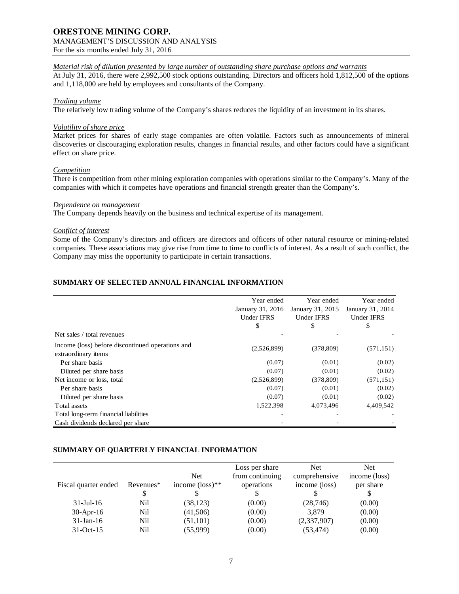# **ORESTONE MINING CORP.** MANAGEMENT'S DISCUSSION AND ANALYSIS

For the six months ended July 31, 2016

# *Material risk of dilution presented by large number of outstanding share purchase options and warrants*

At July 31, 2016, there were 2,992,500 stock options outstanding. Directors and officers hold 1,812,500 of the options and 1,118,000 are held by employees and consultants of the Company.

## *Trading volume*

The relatively low trading volume of the Company's shares reduces the liquidity of an investment in its shares.

## *Volatility of share price*

Market prices for shares of early stage companies are often volatile. Factors such as announcements of mineral discoveries or discouraging exploration results, changes in financial results, and other factors could have a significant effect on share price.

#### *Competition*

There is competition from other mining exploration companies with operations similar to the Company's. Many of the companies with which it competes have operations and financial strength greater than the Company's.

#### *Dependence on management*

The Company depends heavily on the business and technical expertise of its management.

## *Conflict of interest*

Some of the Company's directors and officers are directors and officers of other natural resource or mining-related companies. These associations may give rise from time to time to conflicts of interest. As a result of such conflict, the Company may miss the opportunity to participate in certain transactions.

# **SUMMARY OF SELECTED ANNUAL FINANCIAL INFORMATION**

|                                                  | Year ended        | Year ended        | Year ended        |
|--------------------------------------------------|-------------------|-------------------|-------------------|
|                                                  | January 31, 2016  | January 31, 2015  | January 31, 2014  |
|                                                  | <b>Under IFRS</b> | <b>Under IFRS</b> | <b>Under IFRS</b> |
|                                                  | \$                | \$                | \$                |
| Net sales / total revenues                       |                   |                   |                   |
| Income (loss) before discontinued operations and | (2,526,899)       | (378, 809)        | (571, 151)        |
| extraordinary items                              |                   |                   |                   |
| Per share basis                                  | (0.07)            | (0.01)            | (0.02)            |
| Diluted per share basis                          | (0.07)            | (0.01)            | (0.02)            |
| Net income or loss, total                        | (2,526,899)       | (378, 809)        | (571, 151)        |
| Per share basis                                  | (0.07)            | (0.01)            | (0.02)            |
| Diluted per share basis                          | (0.07)            | (0.01)            | (0.02)            |
| Total assets                                     | 1,522,398         | 4,073,496         | 4,409,542         |
| Total long-term financial liabilities            |                   |                   |                   |
| Cash dividends declared per share                |                   |                   |                   |

# **SUMMARY OF QUARTERLY FINANCIAL INFORMATION**

| Fiscal quarter ended | Revenues <sup>*</sup> | <b>Net</b><br>income $(\text{loss})^{**}$ | Loss per share<br>from continuing<br>operations | Net.<br>comprehensive<br>income (loss) | Net.<br>income (loss)<br>per share |
|----------------------|-----------------------|-------------------------------------------|-------------------------------------------------|----------------------------------------|------------------------------------|
| $31$ -Jul-16         | Nil                   | (38, 123)                                 | (0.00)                                          | (28, 746)                              | (0.00)                             |
| $30-Apr-16$          | Nil                   | (41,506)                                  | (0.00)                                          | 3,879                                  | (0.00)                             |
| $31$ -Jan-16         | Nil                   | (51, 101)                                 | (0.00)                                          | (2,337,907)                            | (0.00)                             |
| $31-Oct-15$          | Nil                   | (55,999)                                  | (0.00)                                          | (53, 474)                              | (0.00)                             |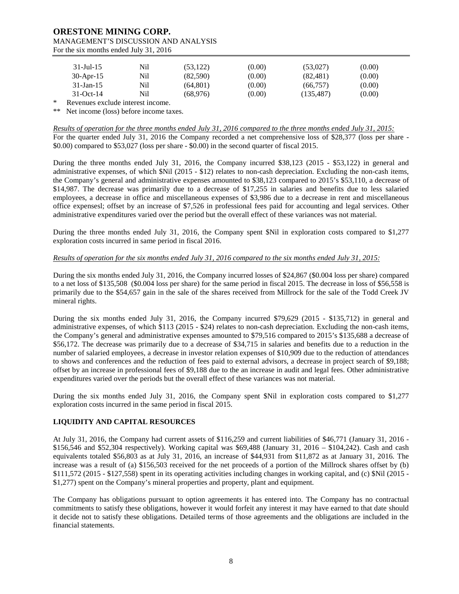| $31 -$ Jul - 15 | Nil | (53, 122) | (0.00) | (53,027)   | (0.00) |
|-----------------|-----|-----------|--------|------------|--------|
| $30$ -Apr-15    | Nil | (82, 590) | (0.00) | (82, 481)  | (0.00) |
| $31$ -Jan-15    | Nil | (64.801)  | (0.00) | (66,757)   | (0.00) |
|                 |     |           |        |            |        |
| $31-Oct-14$     | Nil | (68.976)  | (0.00) | (135, 487) | (0.00) |

\* Revenues exclude interest income.

\*\* Net income (loss) before income taxes.

*Results of operation for the three months ended July 31, 2016 compared to the three months ended July 31, 2015:* For the quarter ended July 31, 2016 the Company recorded a net comprehensive loss of \$28,377 (loss per share - \$0.00) compared to \$53,027 (loss per share - \$0.00) in the second quarter of fiscal 2015.

During the three months ended July 31, 2016, the Company incurred \$38,123 (2015 - \$53,122) in general and administrative expenses, of which \$Nil (2015 - \$12) relates to non-cash depreciation. Excluding the non-cash items, the Company's general and administrative expenses amounted to \$38,123 compared to 2015's \$53,110, a decrease of \$14,987. The decrease was primarily due to a decrease of \$17,255 in salaries and benefits due to less salaried employees, a decrease in office and miscellaneous expenses of \$3,986 due to a decrease in rent and miscellaneous office expensesl; offset by an increase of \$7,526 in professional fees paid for accounting and legal services. Other administrative expenditures varied over the period but the overall effect of these variances was not material.

During the three months ended July 31, 2016, the Company spent \$Nil in exploration costs compared to \$1,277 exploration costs incurred in same period in fiscal 2016.

# *Results of operation for the six months ended July 31, 2016 compared to the six months ended July 31, 2015:*

During the six months ended July 31, 2016, the Company incurred losses of \$24,867 (\$0.004 loss per share) compared to a net loss of \$135,508 (\$0.004 loss per share) for the same period in fiscal 2015. The decrease in loss of \$56,558 is primarily due to the \$54,657 gain in the sale of the shares received from Millrock for the sale of the Todd Creek JV mineral rights.

During the six months ended July 31, 2016, the Company incurred \$79,629 (2015 - \$135,712) in general and administrative expenses, of which \$113 (2015 - \$24) relates to non-cash depreciation. Excluding the non-cash items, the Company's general and administrative expenses amounted to \$79,516 compared to 2015's \$135,688 a decrease of \$56,172. The decrease was primarily due to a decrease of \$34,715 in salaries and benefits due to a reduction in the number of salaried employees, a decrease in investor relation expenses of \$10,909 due to the reduction of attendances to shows and conferences and the reduction of fees paid to external advisors, a decrease in project search of \$9,188; offset by an increase in professional fees of \$9,188 due to the an increase in audit and legal fees. Other administrative expenditures varied over the periods but the overall effect of these variances was not material.

During the six months ended July 31, 2016, the Company spent \$Nil in exploration costs compared to \$1,277 exploration costs incurred in the same period in fiscal 2015.

# **LIQUIDITY AND CAPITAL RESOURCES**

At July 31, 2016, the Company had current assets of \$116,259 and current liabilities of \$46,771 (January 31, 2016 - \$156,546 and \$52,304 respectively). Working capital was \$69,488 (January 31, 2016 – \$104,242). Cash and cash equivalents totaled \$56,803 as at July 31, 2016, an increase of \$44,931 from \$11,872 as at January 31, 2016. The increase was a result of (a) \$156,503 received for the net proceeds of a portion of the Millrock shares offset by (b) \$111,572 (2015 - \$127,558) spent in its operating activities including changes in working capital, and (c) \$Nil (2015 - \$1,277) spent on the Company's mineral properties and property, plant and equipment.

The Company has obligations pursuant to option agreements it has entered into. The Company has no contractual commitments to satisfy these obligations, however it would forfeit any interest it may have earned to that date should it decide not to satisfy these obligations. Detailed terms of those agreements and the obligations are included in the financial statements.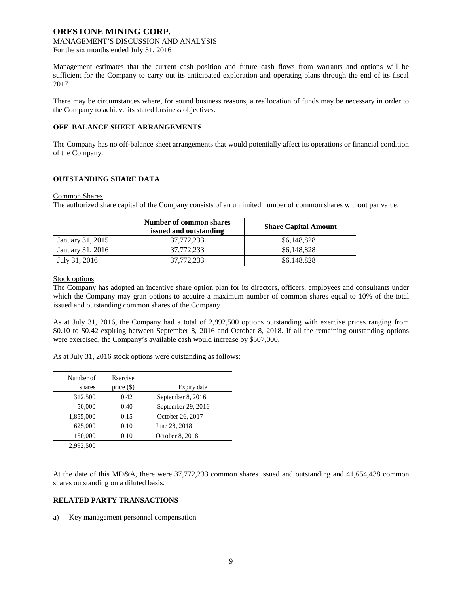Management estimates that the current cash position and future cash flows from warrants and options will be sufficient for the Company to carry out its anticipated exploration and operating plans through the end of its fiscal 2017.

There may be circumstances where, for sound business reasons, a reallocation of funds may be necessary in order to the Company to achieve its stated business objectives.

#### **OFF BALANCE SHEET ARRANGEMENTS**

The Company has no off-balance sheet arrangements that would potentially affect its operations or financial condition of the Company.

## **OUTSTANDING SHARE DATA**

#### Common Shares

The authorized share capital of the Company consists of an unlimited number of common shares without par value.

|                  | Number of common shares<br>issued and outstanding | <b>Share Capital Amount</b> |
|------------------|---------------------------------------------------|-----------------------------|
| January 31, 2015 | 37,772,233                                        | \$6,148,828                 |
| January 31, 2016 | 37,772,233                                        | \$6,148,828                 |
| July 31, 2016    | 37,772,233                                        | \$6,148,828                 |

## Stock options

The Company has adopted an incentive share option plan for its directors, officers, employees and consultants under which the Company may gran options to acquire a maximum number of common shares equal to 10% of the total issued and outstanding common shares of the Company.

As at July 31, 2016, the Company had a total of 2,992,500 options outstanding with exercise prices ranging from \$0.10 to \$0.42 expiring between September 8, 2016 and October 8, 2018. If all the remaining outstanding options were exercised, the Company's available cash would increase by \$507,000.

As at July 31, 2016 stock options were outstanding as follows:

| Number of<br>shares | Exercise     |                    |
|---------------------|--------------|--------------------|
|                     | price $(\$)$ | Expiry date        |
| 312,500             | 0.42         | September 8, 2016  |
| 50,000              | 0.40         | September 29, 2016 |
| 1,855,000           | 0.15         | October 26, 2017   |
| 625,000             | 0.10         | June 28, 2018      |
| 150,000             | 0.10         | October 8, 2018    |
| 2,992,500           |              |                    |

At the date of this MD&A, there were 37,772,233 common shares issued and outstanding and 41,654,438 common shares outstanding on a diluted basis.

## **RELATED PARTY TRANSACTIONS**

a) Key management personnel compensation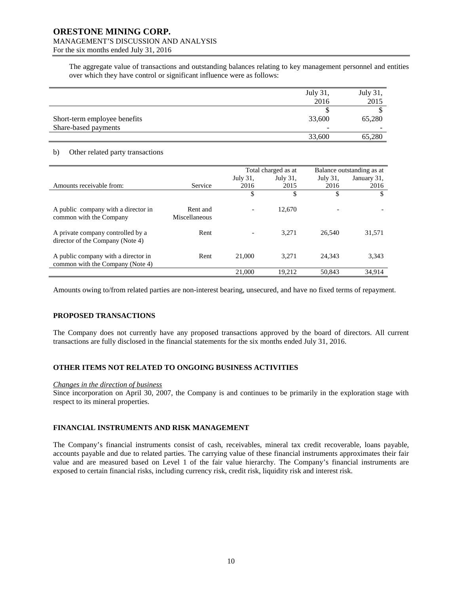# **ORESTONE MINING CORP.** MANAGEMENT'S DISCUSSION AND ANALYSIS

For the six months ended July 31, 2016

The aggregate value of transactions and outstanding balances relating to key management personnel and entities over which they have control or significant influence were as follows:

|                              | July $31$ , | July 31, |
|------------------------------|-------------|----------|
|                              | 2016        | 2015     |
|                              |             |          |
| Short-term employee benefits | 33,600      | 65,280   |
| Share-based payments         |             |          |
|                              | 33,600      | 65,280   |

## b) Other related party transactions

|                                                                         |                           | Total charged as at |          | Balance outstanding as at |             |
|-------------------------------------------------------------------------|---------------------------|---------------------|----------|---------------------------|-------------|
|                                                                         |                           | July 31,            | July 31, | July 31,                  | January 31, |
| Amounts receivable from:                                                | Service                   | 2016                | 2015     | 2016                      | 2016        |
|                                                                         |                           | \$                  | \$       | \$                        | \$          |
|                                                                         |                           |                     |          |                           |             |
| A public company with a director in<br>common with the Company          | Rent and<br>Miscellaneous |                     | 12,670   |                           |             |
| A private company controlled by a<br>director of the Company (Note 4)   | Rent                      |                     | 3.271    | 26.540                    | 31,571      |
| A public company with a director in<br>common with the Company (Note 4) | Rent                      | 21,000              | 3.271    | 24.343                    | 3,343       |
|                                                                         |                           | 21,000              | 19.212   | 50.843                    | 34,914      |

Amounts owing to/from related parties are non-interest bearing, unsecured, and have no fixed terms of repayment.

# **PROPOSED TRANSACTIONS**

The Company does not currently have any proposed transactions approved by the board of directors. All current transactions are fully disclosed in the financial statements for the six months ended July 31, 2016.

# **OTHER ITEMS NOT RELATED TO ONGOING BUSINESS ACTIVITIES**

#### *Changes in the direction of business*

Since incorporation on April 30, 2007, the Company is and continues to be primarily in the exploration stage with respect to its mineral properties.

#### **FINANCIAL INSTRUMENTS AND RISK MANAGEMENT**

The Company's financial instruments consist of cash, receivables, mineral tax credit recoverable, loans payable, accounts payable and due to related parties. The carrying value of these financial instruments approximates their fair value and are measured based on Level 1 of the fair value hierarchy. The Company's financial instruments are exposed to certain financial risks, including currency risk, credit risk, liquidity risk and interest risk.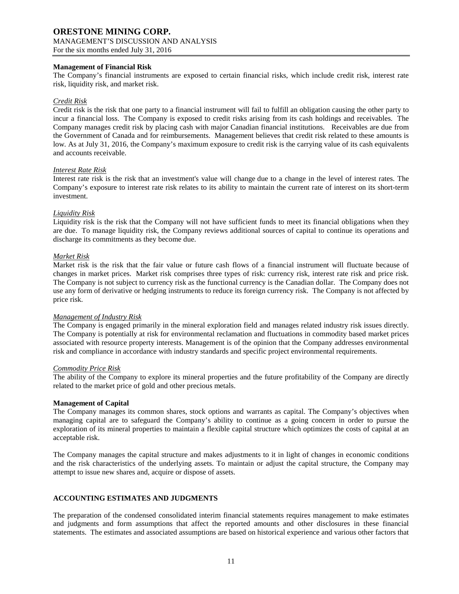## **Management of Financial Risk**

The Company's financial instruments are exposed to certain financial risks, which include credit risk, interest rate risk, liquidity risk, and market risk.

## *Credit Risk*

Credit risk is the risk that one party to a financial instrument will fail to fulfill an obligation causing the other party to incur a financial loss. The Company is exposed to credit risks arising from its cash holdings and receivables. The Company manages credit risk by placing cash with major Canadian financial institutions. Receivables are due from the Government of Canada and for reimbursements. Management believes that credit risk related to these amounts is low. As at July 31, 2016, the Company's maximum exposure to credit risk is the carrying value of its cash equivalents and accounts receivable.

#### *Interest Rate Risk*

Interest rate risk is the risk that an investment's value will change due to a change in the level of interest rates. The Company's exposure to interest rate risk relates to its ability to maintain the current rate of interest on its short-term investment.

## *Liquidity Risk*

Liquidity risk is the risk that the Company will not have sufficient funds to meet its financial obligations when they are due. To manage liquidity risk, the Company reviews additional sources of capital to continue its operations and discharge its commitments as they become due.

## *Market Risk*

Market risk is the risk that the fair value or future cash flows of a financial instrument will fluctuate because of changes in market prices. Market risk comprises three types of risk: currency risk, interest rate risk and price risk. The Company is not subject to currency risk as the functional currency is the Canadian dollar. The Company does not use any form of derivative or hedging instruments to reduce its foreign currency risk. The Company is not affected by price risk.

#### *Management of Industry Risk*

The Company is engaged primarily in the mineral exploration field and manages related industry risk issues directly. The Company is potentially at risk for environmental reclamation and fluctuations in commodity based market prices associated with resource property interests. Management is of the opinion that the Company addresses environmental risk and compliance in accordance with industry standards and specific project environmental requirements.

#### *Commodity Price Risk*

The ability of the Company to explore its mineral properties and the future profitability of the Company are directly related to the market price of gold and other precious metals.

#### **Management of Capital**

The Company manages its common shares, stock options and warrants as capital. The Company's objectives when managing capital are to safeguard the Company's ability to continue as a going concern in order to pursue the exploration of its mineral properties to maintain a flexible capital structure which optimizes the costs of capital at an acceptable risk.

The Company manages the capital structure and makes adjustments to it in light of changes in economic conditions and the risk characteristics of the underlying assets. To maintain or adjust the capital structure, the Company may attempt to issue new shares and, acquire or dispose of assets.

# **ACCOUNTING ESTIMATES AND JUDGMENTS**

The preparation of the condensed consolidated interim financial statements requires management to make estimates and judgments and form assumptions that affect the reported amounts and other disclosures in these financial statements. The estimates and associated assumptions are based on historical experience and various other factors that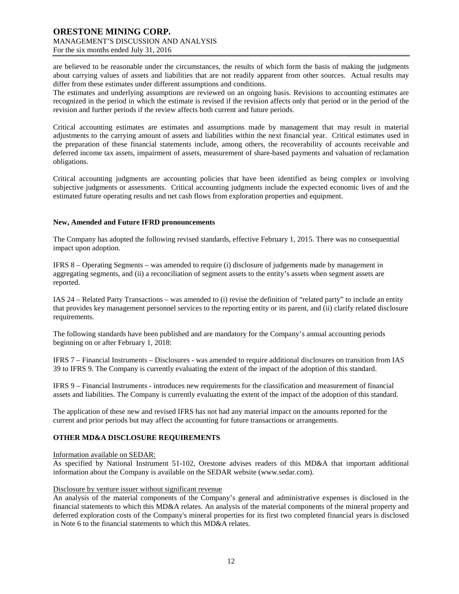are believed to be reasonable under the circumstances, the results of which form the basis of making the judgments about carrying values of assets and liabilities that are not readily apparent from other sources. Actual results may differ from these estimates under different assumptions and conditions.

The estimates and underlying assumptions are reviewed on an ongoing basis. Revisions to accounting estimates are recognized in the period in which the estimate is revised if the revision affects only that period or in the period of the revision and further periods if the review affects both current and future periods.

Critical accounting estimates are estimates and assumptions made by management that may result in material adjustments to the carrying amount of assets and liabilities within the next financial year. Critical estimates used in the preparation of these financial statements include, among others, the recoverability of accounts receivable and deferred income tax assets, impairment of assets, measurement of share-based payments and valuation of reclamation obligations.

Critical accounting judgments are accounting policies that have been identified as being complex or involving subjective judgments or assessments. Critical accounting judgments include the expected economic lives of and the estimated future operating results and net cash flows from exploration properties and equipment.

#### **New, Amended and Future IFRD pronouncements**

The Company has adopted the following revised standards, effective February 1, 2015. There was no consequential impact upon adoption.

IFRS 8 – Operating Segments – was amended to require (i) disclosure of judgements made by management in aggregating segments, and (ii) a reconciliation of segment assets to the entity's assets when segment assets are reported.

IAS 24 – Related Party Transactions – was amended to (i) revise the definition of "related party" to include an entity that provides key management personnel services to the reporting entity or its parent, and (ii) clarify related disclosure requirements.

The following standards have been published and are mandatory for the Company's annual accounting periods beginning on or after February 1, 2018:

IFRS 7 – Financial Instruments – Disclosures - was amended to require additional disclosures on transition from IAS 39 to IFRS 9. The Company is currently evaluating the extent of the impact of the adoption of this standard.

IFRS 9 – Financial Instruments - introduces new requirements for the classification and measurement of financial assets and liabilities. The Company is currently evaluating the extent of the impact of the adoption of this standard.

The application of these new and revised IFRS has not had any material impact on the amounts reported for the current and prior periods but may affect the accounting for future transactions or arrangements.

# **OTHER MD&A DISCLOSURE REQUIREMENTS**

Information available on SEDAR:

As specified by National Instrument 51-102, Orestone advises readers of this MD&A that important additional information about the Company is available on the SEDAR website (www.sedar.com).

#### Disclosure by venture issuer without significant revenue

An analysis of the material components of the Company's general and administrative expenses is disclosed in the financial statements to which this MD&A relates. An analysis of the material components of the mineral property and deferred exploration costs of the Company's mineral properties for its first two completed financial years is disclosed in Note 6 to the financial statements to which this MD&A relates.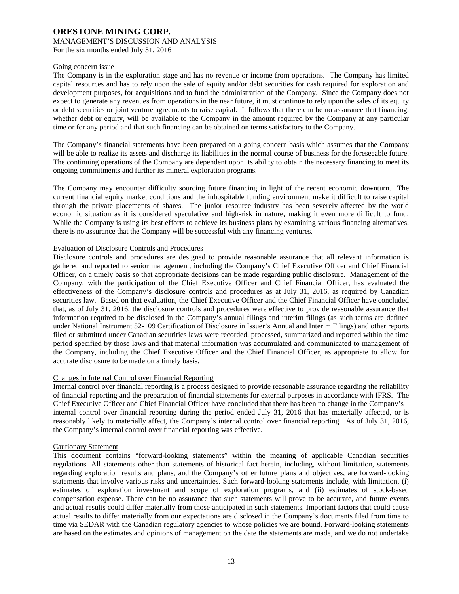#### Going concern issue

The Company is in the exploration stage and has no revenue or income from operations. The Company has limited capital resources and has to rely upon the sale of equity and/or debt securities for cash required for exploration and development purposes, for acquisitions and to fund the administration of the Company. Since the Company does not expect to generate any revenues from operations in the near future, it must continue to rely upon the sales of its equity or debt securities or joint venture agreements to raise capital. It follows that there can be no assurance that financing, whether debt or equity, will be available to the Company in the amount required by the Company at any particular time or for any period and that such financing can be obtained on terms satisfactory to the Company.

The Company's financial statements have been prepared on a going concern basis which assumes that the Company will be able to realize its assets and discharge its liabilities in the normal course of business for the foreseeable future. The continuing operations of the Company are dependent upon its ability to obtain the necessary financing to meet its ongoing commitments and further its mineral exploration programs.

The Company may encounter difficulty sourcing future financing in light of the recent economic downturn. The current financial equity market conditions and the inhospitable funding environment make it difficult to raise capital through the private placements of shares. The junior resource industry has been severely affected by the world economic situation as it is considered speculative and high-risk in nature, making it even more difficult to fund. While the Company is using its best efforts to achieve its business plans by examining various financing alternatives, there is no assurance that the Company will be successful with any financing ventures.

## Evaluation of Disclosure Controls and Procedures

Disclosure controls and procedures are designed to provide reasonable assurance that all relevant information is gathered and reported to senior management, including the Company's Chief Executive Officer and Chief Financial Officer, on a timely basis so that appropriate decisions can be made regarding public disclosure. Management of the Company, with the participation of the Chief Executive Officer and Chief Financial Officer, has evaluated the effectiveness of the Company's disclosure controls and procedures as at July 31, 2016, as required by Canadian securities law. Based on that evaluation, the Chief Executive Officer and the Chief Financial Officer have concluded that, as of July 31, 2016, the disclosure controls and procedures were effective to provide reasonable assurance that information required to be disclosed in the Company's annual filings and interim filings (as such terms are defined under National Instrument 52-109 Certification of Disclosure in Issuer's Annual and Interim Filings) and other reports filed or submitted under Canadian securities laws were recorded, processed, summarized and reported within the time period specified by those laws and that material information was accumulated and communicated to management of the Company, including the Chief Executive Officer and the Chief Financial Officer, as appropriate to allow for accurate disclosure to be made on a timely basis.

# Changes in Internal Control over Financial Reporting

Internal control over financial reporting is a process designed to provide reasonable assurance regarding the reliability of financial reporting and the preparation of financial statements for external purposes in accordance with IFRS. The Chief Executive Officer and Chief Financial Officer have concluded that there has been no change in the Company's internal control over financial reporting during the period ended July 31, 2016 that has materially affected, or is reasonably likely to materially affect, the Company's internal control over financial reporting. As of July 31, 2016, the Company's internal control over financial reporting was effective.

#### Cautionary Statement

This document contains "forward-looking statements" within the meaning of applicable Canadian securities regulations. All statements other than statements of historical fact herein, including, without limitation, statements regarding exploration results and plans, and the Company's other future plans and objectives, are forward-looking statements that involve various risks and uncertainties. Such forward-looking statements include, with limitation, (i) estimates of exploration investment and scope of exploration programs, and (ii) estimates of stock-based compensation expense. There can be no assurance that such statements will prove to be accurate, and future events and actual results could differ materially from those anticipated in such statements. Important factors that could cause actual results to differ materially from our expectations are disclosed in the Company's documents filed from time to time via SEDAR with the Canadian regulatory agencies to whose policies we are bound. Forward-looking statements are based on the estimates and opinions of management on the date the statements are made, and we do not undertake